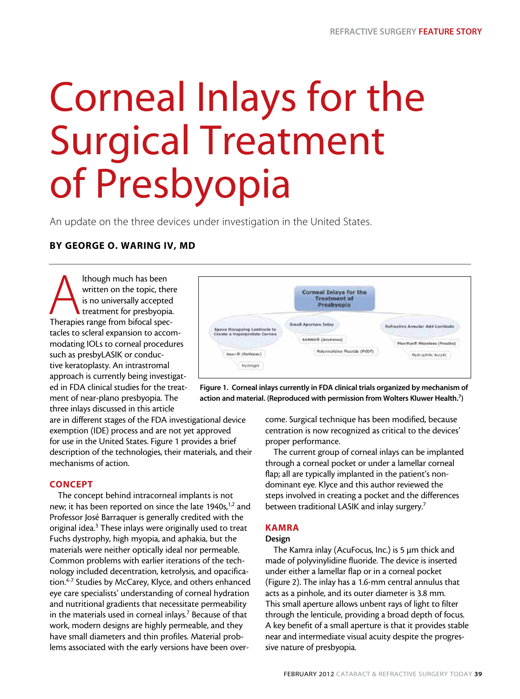# Corneal Inlays for the Surgical Treatment of Presbyopia

An update on the three devices under investigation in the United States.

# By George O. Waring IV, MD

Ithough much has been<br>
written on the topic, there<br>
is no universally accepted<br>
treatment for presbyopia<br>
Therapies range from bifocal specwritten on the topic, there is no universally accepted treatment for presbyopia. tacles to scleral expansion to accommodating IOLs to corneal procedures such as presbyLASIK or conductive keratoplasty. An intrastromal approach is currently being investigated in FDA clinical studies for the treatment of near-plano presbyopia. The three inlays discussed in this article



Figure 1. Corneal inlays currently in FDA clinical trials organized by mechanism of action and material. (Reproduced with permission from Wolters Kluwer Health.<sup>7</sup>)

are in different stages of the FDA investigational device exemption (IDE) process and are not yet approved for use in the United States. Figure 1 provides a brief description of the technologies, their materials, and their mechanisms of action.

# **CONCEPT**

The concept behind intracorneal implants is not new; it has been reported on since the late 1940s,<sup>1,2</sup> and Professor José Barraquer is generally credited with the original idea.<sup>3</sup> These inlays were originally used to treat Fuchs dystrophy, high myopia, and aphakia, but the materials were neither optically ideal nor permeable. Common problems with earlier iterations of the technology included decentration, ketrolysis, and opacification.4-7 Studies by McCarey, Klyce, and others enhanced eye care specialists' understanding of corneal hydration and nutritional gradients that necessitate permeability in the materials used in corneal inlays. $7$  Because of that work, modern designs are highly permeable, and they have small diameters and thin profiles. Material problems associated with the early versions have been overcome. Surgical technique has been modified, because centration is now recognized as critical to the devices' proper performance.

The current group of corneal inlays can be implanted through a corneal pocket or under a lamellar corneal flap; all are typically implanted in the patient's nondominant eye. Klyce and this author reviewed the steps involved in creating a pocket and the differences between traditional LASIK and inlay surgery.<sup>7</sup>

# KAMRA

# Design

The Kamra inlay (AcuFocus, Inc.) is 5 µm thick and made of polyvinylidine fluoride. The device is inserted under either a lamellar flap or in a corneal pocket (Figure 2). The inlay has a 1.6-mm central annulus that acts as a pinhole, and its outer diameter is 3.8 mm. This small aperture allows unbent rays of light to filter through the lenticule, providing a broad depth of focus. A key benefit of a small aperture is that it provides stable near and intermediate visual acuity despite the progressive nature of presbyopia.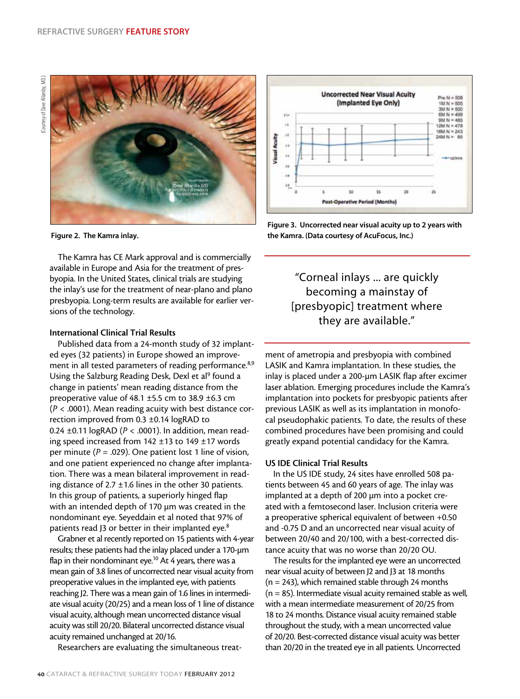

Figure 2. The Kamra inlay.

The Kamra has CE Mark approval and is commercially available in Europe and Asia for the treatment of presbyopia. In the United States, clinical trials are studying the inlay's use for the treatment of near-plano and plano presbyopia. Long-term results are available for earlier versions of the technology.

# International Clinical Trial Results

Published data from a 24-month study of 32 implanted eyes (32 patients) in Europe showed an improvement in all tested parameters of reading performance.<sup>8,9</sup> Using the Salzburg Reading Desk, Dexl et al<sup>9</sup> found a change in patients' mean reading distance from the preoperative value of 48.1 ±5.5 cm to 38.9 ±6.3 cm (*P* < .0001). Mean reading acuity with best distance correction improved from 0.3 ±0.14 logRAD to 0.24 ±0.11 logRAD (*P* < .0001). In addition, mean reading speed increased from 142 ±13 to 149 ±17 words per minute (*P* = .029). One patient lost 1 line of vision, and one patient experienced no change after implantation. There was a mean bilateral improvement in reading distance of 2.7  $\pm$ 1.6 lines in the other 30 patients. In this group of patients, a superiorly hinged flap with an intended depth of 170 µm was created in the nondominant eye. Seyeddain et al noted that 97% of patients read J3 or better in their implanted eye.<sup>8</sup>

Grabner et al recently reported on 15 patients with 4-year results; these patients had the inlay placed under a 170-µm flap in their nondominant eye.<sup>10</sup> At 4 years, there was a mean gain of 3.8 lines of uncorrected near visual acuity from preoperative values in the implanted eye, with patients reaching J2. There was a mean gain of 1.6 lines in intermediate visual acuity (20/25) and a mean loss of 1 line of distance visual acuity, although mean uncorrected distance visual acuity was still 20/20. Bilateral uncorrected distance visual acuity remained unchanged at 20/16.

Researchers are evaluating the simultaneous treat-



Figure 3. Uncorrected near visual acuity up to 2 years with the Kamra. (Data courtesy of AcuFocus, Inc.)

"Corneal inlays ... are quickly becoming a mainstay of [presbyopic] treatment where they are available."

ment of ametropia and presbyopia with combined LASIK and Kamra implantation. In these studies, the inlay is placed under a 200-µm LASIK flap after excimer laser ablation. Emerging procedures include the Kamra's implantation into pockets for presbyopic patients after previous LASIK as well as its implantation in monofocal pseudophakic patients. To date, the results of these combined procedures have been promising and could greatly expand potential candidacy for the Kamra.

#### US IDE Clinical Trial Results

In the US IDE study, 24 sites have enrolled 508 patients between 45 and 60 years of age. The inlay was implanted at a depth of 200 µm into a pocket created with a femtosecond laser. Inclusion criteria were a preoperative spherical equivalent of between +0.50 and -0.75 D and an uncorrected near visual acuity of between 20/40 and 20/100, with a best-corrected distance acuity that was no worse than 20/20 OU.

The results for the implanted eye were an uncorrected near visual acuity of between J2 and J3 at 18 months (n = 243), which remained stable through 24 months (n = 85). Intermediate visual acuity remained stable as well, with a mean intermediate measurement of 20/25 from 18 to 24 months. Distance visual acuity remained stable throughout the study, with a mean uncorrected value of 20/20. Best-corrected distance visual acuity was better than 20/20 in the treated eye in all patients. Uncorrected